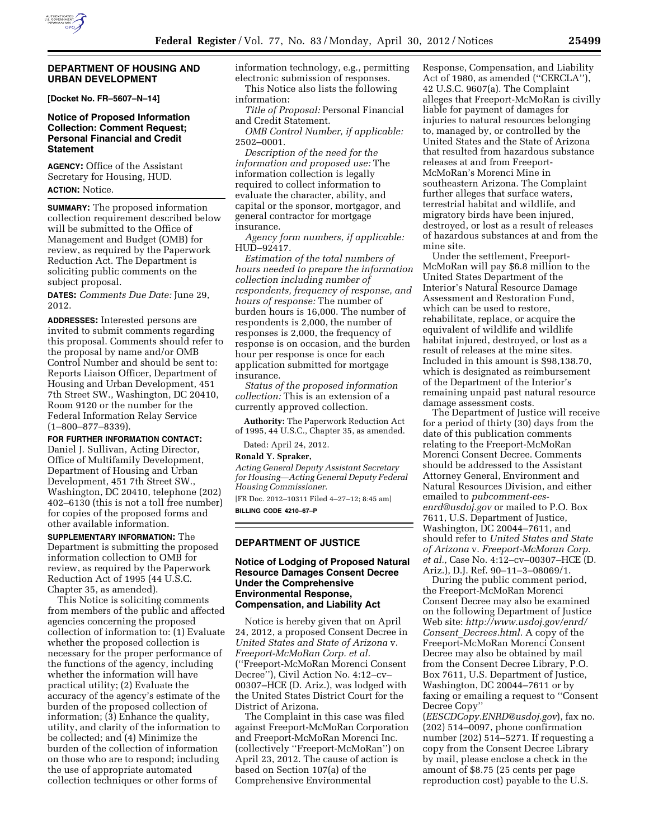

#### **DEPARTMENT OF HOUSING AND URBAN DEVELOPMENT**

**[Docket No. FR–5607–N–14]** 

# **Notice of Proposed Information Collection: Comment Request; Personal Financial and Credit Statement**

**AGENCY:** Office of the Assistant Secretary for Housing, HUD. **ACTION:** Notice.

**SUMMARY:** The proposed information collection requirement described below will be submitted to the Office of Management and Budget (OMB) for review, as required by the Paperwork Reduction Act. The Department is soliciting public comments on the subject proposal.

**DATES:** *Comments Due Date:* June 29, 2012.

**ADDRESSES:** Interested persons are invited to submit comments regarding this proposal. Comments should refer to the proposal by name and/or OMB Control Number and should be sent to: Reports Liaison Officer, Department of Housing and Urban Development, 451 7th Street SW., Washington, DC 20410, Room 9120 or the number for the Federal Information Relay Service (1–800–877–8339).

**FOR FURTHER INFORMATION CONTACT:**  Daniel J. Sullivan, Acting Director, Office of Multifamily Development, Department of Housing and Urban Development, 451 7th Street SW., Washington, DC 20410, telephone (202) 402–6130 (this is not a toll free number) for copies of the proposed forms and other available information.

**SUPPLEMENTARY INFORMATION:** The Department is submitting the proposed information collection to OMB for review, as required by the Paperwork Reduction Act of 1995 (44 U.S.C. Chapter 35, as amended).

This Notice is soliciting comments from members of the public and affected agencies concerning the proposed collection of information to: (1) Evaluate whether the proposed collection is necessary for the proper performance of the functions of the agency, including whether the information will have practical utility; (2) Evaluate the accuracy of the agency's estimate of the burden of the proposed collection of information; (3) Enhance the quality, utility, and clarity of the information to be collected; and (4) Minimize the burden of the collection of information on those who are to respond; including the use of appropriate automated collection techniques or other forms of

information technology, e.g., permitting electronic submission of responses. This Notice also lists the following information:

*Title of Proposal:* Personal Financial and Credit Statement.

*OMB Control Number, if applicable:*  2502–0001.

*Description of the need for the information and proposed use:* The information collection is legally required to collect information to evaluate the character, ability, and capital or the sponsor, mortgagor, and general contractor for mortgage insurance.

*Agency form numbers, if applicable:*  HUD–92417.

*Estimation of the total numbers of hours needed to prepare the information collection including number of respondents, frequency of response, and hours of response:* The number of burden hours is 16,000. The number of respondents is 2,000, the number of responses is 2,000, the frequency of response is on occasion, and the burden hour per response is once for each application submitted for mortgage insurance.

*Status of the proposed information collection:* This is an extension of a currently approved collection.

**Authority:** The Paperwork Reduction Act of 1995, 44 U.S.C., Chapter 35, as amended.

Dated: April 24, 2012.

# **Ronald Y. Spraker,**

*Acting General Deputy Assistant Secretary for Housing—Acting General Deputy Federal Housing Commissioner.* 

[FR Doc. 2012–10311 Filed 4–27–12; 8:45 am] **BILLING CODE 4210–67–P** 

# **DEPARTMENT OF JUSTICE**

### **Notice of Lodging of Proposed Natural Resource Damages Consent Decree Under the Comprehensive Environmental Response, Compensation, and Liability Act**

Notice is hereby given that on April 24, 2012, a proposed Consent Decree in *United States and State of Arizona* v. *Freeport-McMoRan Corp. et al.*  (''Freeport-McMoRan Morenci Consent Decree''), Civil Action No. 4:12–cv– 00307–HCE (D. Ariz.), was lodged with the United States District Court for the District of Arizona.

The Complaint in this case was filed against Freeport-McMoRan Corporation and Freeport-McMoRan Morenci Inc. (collectively ''Freeport-McMoRan'') on April 23, 2012. The cause of action is based on Section 107(a) of the Comprehensive Environmental

Response, Compensation, and Liability Act of 1980, as amended (''CERCLA''), 42 U.S.C. 9607(a). The Complaint alleges that Freeport-McMoRan is civilly liable for payment of damages for injuries to natural resources belonging to, managed by, or controlled by the United States and the State of Arizona that resulted from hazardous substance releases at and from Freeport-McMoRan's Morenci Mine in southeastern Arizona. The Complaint further alleges that surface waters, terrestrial habitat and wildlife, and migratory birds have been injured, destroyed, or lost as a result of releases of hazardous substances at and from the mine site.

Under the settlement, Freeport-McMoRan will pay \$6.8 million to the United States Department of the Interior's Natural Resource Damage Assessment and Restoration Fund, which can be used to restore, rehabilitate, replace, or acquire the equivalent of wildlife and wildlife habitat injured, destroyed, or lost as a result of releases at the mine sites. Included in this amount is \$98,138.70, which is designated as reimbursement of the Department of the Interior's remaining unpaid past natural resource damage assessment costs.

The Department of Justice will receive for a period of thirty (30) days from the date of this publication comments relating to the Freeport-McMoRan Morenci Consent Decree. Comments should be addressed to the Assistant Attorney General, Environment and Natural Resources Division, and either emailed to *[pubcomment-ees](mailto:pubcomment-ees-enrd@usdoj.gov)[enrd@usdoj.gov](mailto:pubcomment-ees-enrd@usdoj.gov)* or mailed to P.O. Box 7611, U.S. Department of Justice, Washington, DC 20044–7611, and should refer to *United States and State of Arizona* v. *Freeport-McMoran Corp. et al.,* Case No. 4:12–cv–00307–HCE (D. Ariz.), D.J. Ref. 90–11–3–08069/1.

During the public comment period, the Freeport-McMoRan Morenci Consent Decree may also be examined on the following Department of Justice Web site: *[http://www.usdoj.gov/enrd/](http://www.usdoj.gov/enrd/Consent_Decrees.html) Consent*\_*[Decrees.html.](http://www.usdoj.gov/enrd/Consent_Decrees.html)* A copy of the Freeport-McMoRan Morenci Consent Decree may also be obtained by mail from the Consent Decree Library, P.O. Box 7611, U.S. Department of Justice, Washington, DC 20044–7611 or by faxing or emailing a request to ''Consent Decree Copy''

(*[EESCDCopy.ENRD@usdoj.gov](mailto:EESCDCopy.ENRD@usdoj.gov)*), fax no. (202) 514–0097, phone confirmation number (202) 514–5271. If requesting a copy from the Consent Decree Library by mail, please enclose a check in the amount of \$8.75 (25 cents per page reproduction cost) payable to the U.S.